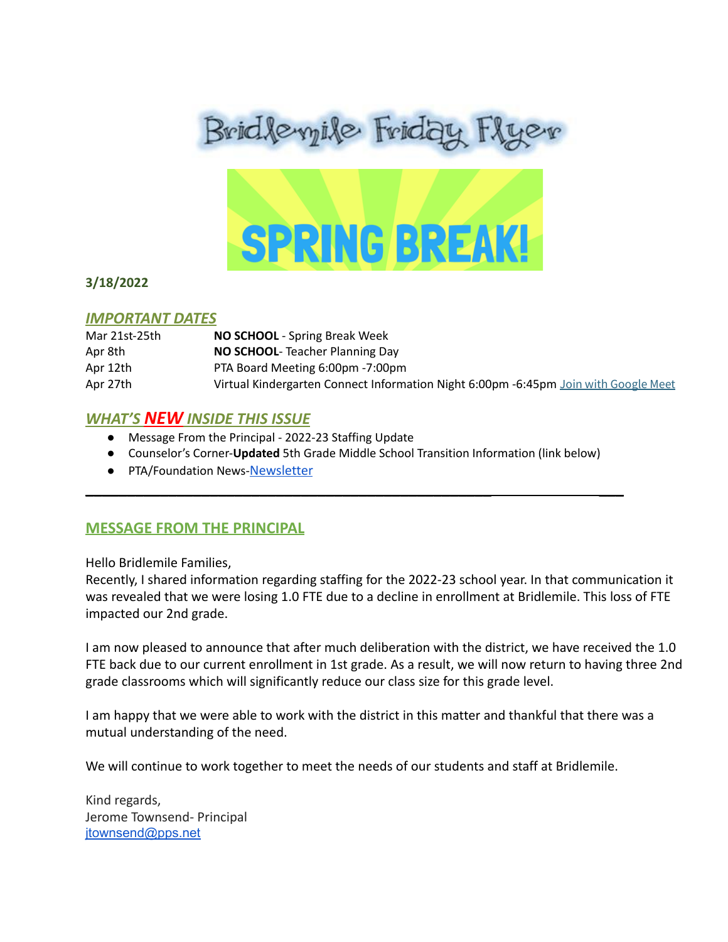



#### **3/18/2022**

#### *IMPORTANT DATES*

| Mar 21st-25th | <b>NO SCHOOL</b> - Spring Break Week                                                |
|---------------|-------------------------------------------------------------------------------------|
| Apr 8th       | <b>NO SCHOOL-</b> Teacher Planning Day                                              |
| Apr 12th      | PTA Board Meeting 6:00pm -7:00pm                                                    |
| Apr 27th      | Virtual Kindergarten Connect Information Night 6:00pm -6:45pm Join with Google Meet |

## *WHAT'S NEW INSIDE THIS ISSUE*

- Message From the Principal 2022-23 Staffing Update
- Counselor's Corner-**Updated** 5th Grade Middle School Transition Information (link below)

\_\_\_\_\_\_\_\_\_\_\_\_\_\_\_\_\_\_\_\_\_\_\_\_\_\_\_\_\_\_\_\_\_\_\_\_\_\_\_\_\_\_\_\_\_\_\_\_\_ \_\_\_

● PTA/Foundation News-[Newsletter](https://docs.google.com/document/u/1/d/e/2PACX-1vQlZCPHtKxqO7qpJwiwgoeaZ1ERHVLgg6z0JNYJMTulwn7xlOVY_X2I1ZV9nntsGHP57LEZ_uSufaFj/pub)

# **MESSAGE FROM THE PRINCIPAL**

Hello Bridlemile Families,

Recently, I shared information regarding staffing for the 2022-23 school year. In that communication it was revealed that we were losing 1.0 FTE due to a decline in enrollment at Bridlemile. This loss of FTE impacted our 2nd grade.

I am now pleased to announce that after much deliberation with the district, we have received the 1.0 FTE back due to our current enrollment in 1st grade. As a result, we will now return to having three 2nd grade classrooms which will significantly reduce our class size for this grade level.

I am happy that we were able to work with the district in this matter and thankful that there was a mutual understanding of the need.

We will continue to work together to meet the needs of our students and staff at Bridlemile.

Kind regards, Jerome Townsend- Principal jtownsend@pps.net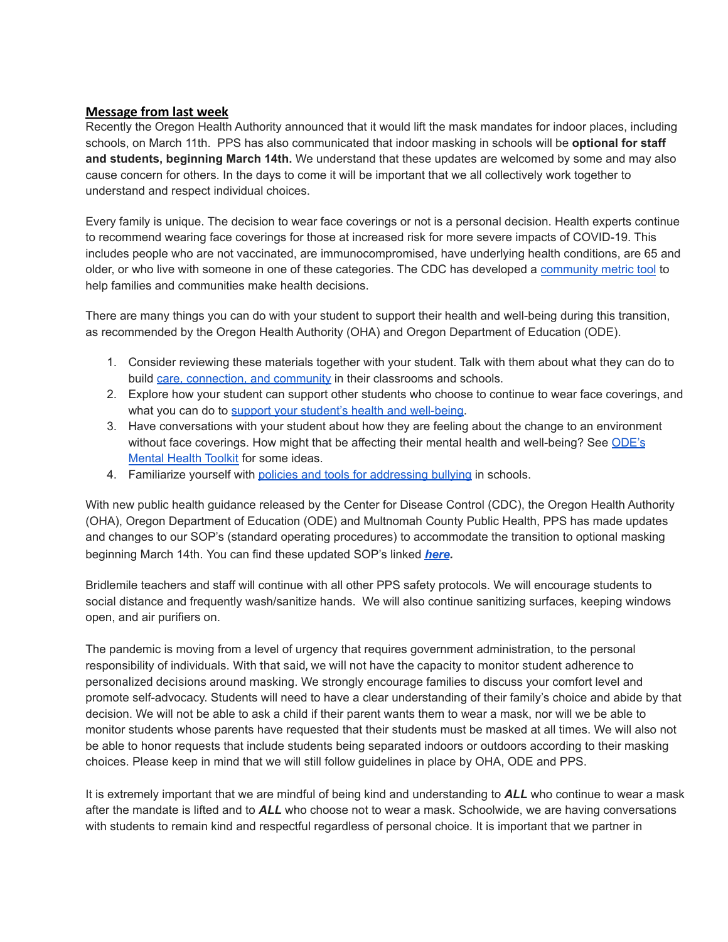#### **Message from last week**

Recently the Oregon Health Authority announced that it would lift the mask mandates for indoor places, including schools, on March 11th. PPS has also communicated that indoor masking in schools will be **optional for staff and students, beginning March 14th.** We understand that these updates are welcomed by some and may also cause concern for others. In the days to come it will be important that we all collectively work together to understand and respect individual choices.

Every family is unique. The decision to wear face coverings or not is a personal decision. Health experts continue to recommend wearing face coverings for those at increased risk for more severe impacts of COVID-19. This includes people who are not vaccinated, are immunocompromised, have underlying health conditions, are 65 and older, or who live with someone in one of these categories. The CDC has developed a [community](https://www.cdc.gov/coronavirus/2019-ncov/your-health/covid-by-county.html) metric tool to help families and communities make health decisions.

There are many things you can do with your student to support their health and well-being during this transition, as recommended by the Oregon Health Authority (OHA) and Oregon Department of Education (ODE).

- 1. Consider reviewing these materials together with your student. Talk with them about what they can do to build care, [connection,](https://www.oregon.gov/ode/students-and-family/equity/SchoolSafety/Pages/Announcements.aspx?utm_medium=email&utm_source=govdelivery6OuoSuS4FYUBVTesFXGnAkndAiY/edit?usp=sharing&ouid=118168639580975731375&rtpof=true&sd=true) and community in their classrooms and schools.
- 2. Explore how your student can support other students who choose to continue to wear face coverings, and what you can do to support your student's health and [well-being](https://www.oregon.gov/ode/students-and-family/equity/SchoolSafety/Pages/Mental-Health-Students-Families-Guidance.aspx).
- 3. Have conversations with your student about how they are feeling about the change to an environment without face coverings. How might that be affecting their mental health and well-being? See [ODE's](https://www.oregon.gov/ode/students-and-family/equity/SchoolSafety/Pages/Mental-Health-Toolkit.aspx) [Mental](https://www.oregon.gov/ode/students-and-family/equity/SchoolSafety/Pages/Mental-Health-Toolkit.aspx) Health Toolkit for some ideas.
- 4. Familiarize yourself with policies and tools for [addressing](https://www.oregon.gov/ode/students-and-family/healthsafety/Documents/bullyingguidance.pdf) bullying in schools.

With new public health guidance released by the Center for Disease Control (CDC), the Oregon Health Authority (OHA), Oregon Department of Education (ODE) and Multnomah County Public Health, PPS has made updates and changes to our SOP's (standard operating procedures) to accommodate the transition to optional masking beginning March 14th. You can find these updated SOP's linked *[here](https://www.pps.net/Page/18048).*

Bridlemile teachers and staff will continue with all other PPS safety protocols. We will encourage students to social distance and frequently wash/sanitize hands. We will also continue sanitizing surfaces, keeping windows open, and air purifiers on.

The pandemic is moving from a level of urgency that requires government administration, to the personal responsibility of individuals. With that said, we will not have the capacity to monitor student adherence to personalized decisions around masking. We strongly encourage families to discuss your comfort level and promote self-advocacy. Students will need to have a clear understanding of their family's choice and abide by that decision. We will not be able to ask a child if their parent wants them to wear a mask, nor will we be able to monitor students whose parents have requested that their students must be masked at all times. We will also not be able to honor requests that include students being separated indoors or outdoors according to their masking choices. Please keep in mind that we will still follow guidelines in place by OHA, ODE and PPS.

It is extremely important that we are mindful of being kind and understanding to *ALL* who continue to wear a mask after the mandate is lifted and to *ALL* who choose not to wear a mask. Schoolwide, we are having conversations with students to remain kind and respectful regardless of personal choice. It is important that we partner in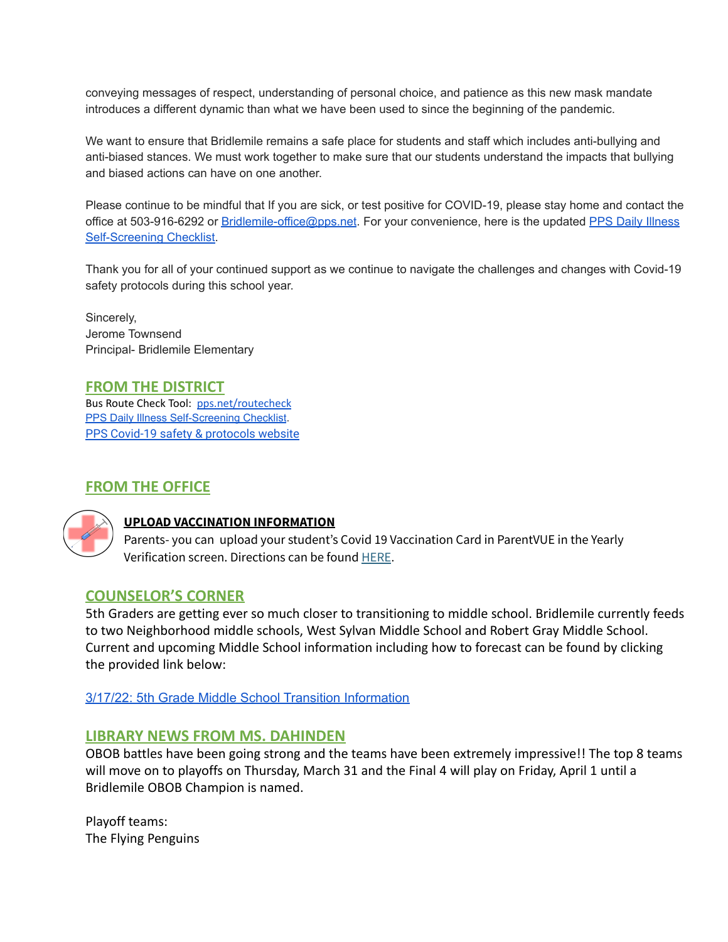conveying messages of respect, understanding of personal choice, and patience as this new mask mandate introduces a different dynamic than what we have been used to since the beginning of the pandemic.

We want to ensure that Bridlemile remains a safe place for students and staff which includes anti-bullying and anti-biased stances. We must work together to make sure that our students understand the impacts that bullying and biased actions can have on one another.

Please continue to be mindful that If you are sick, or test positive for COVID-19, please stay home and contact the office at 503-916-6292 or [Bridlemile-office@pps.net](mailto:Bridlemile-office@pps.net). For your convenience, here is the updated PPS Daily [Illness](https://www.pps.net/Page/18693) [Self-Screening](https://www.pps.net/Page/18693) Checklist.

Thank you for all of your continued support as we continue to navigate the challenges and changes with Covid-19 safety protocols during this school year.

Sincerely, Jerome Townsend Principal- Bridlemile Elementary

**FROM THE DISTRICT**

Bus Route Check Tool: [pps.net/routecheck](https://www.pps.net/routecheck) [PPS Daily Illness Self-Screening Checklist](https://www.pps.net/Page/18693). PPS Covid-19 safety & [protocols](http://track.spe.schoolmessenger.com/f/a/OAPoYPTPSVtUm_Aly1nyJQ~~/AAAAAQA~/RgRkDQ9iP0QkaHR0cHM6Ly93d3cucHBzLm5ldC9iYWNrdG9zY2hvb2wyMDIxVwdzY2hvb2xtQgpiKuLbK2Iqalv1UhBkYnVybGluZ0BwcHMubmV0WAQAAAAB) website

# **FROM THE OFFICE**



## **UPLOAD VACCINATION INFORMATION**

Parents- you can upload your student's Covid 19 Vaccination Card in ParentVUE in the Yearly Verification screen. Directions can be found [HERE](https://docs.google.com/document/d/1AxHhVVEjAqJxV1Vuh9PnfwkZHcp-Tde_x6iFOOEy58Y/edit).

## **COUNSELOR'S CORNER**

5th Graders are getting ever so much closer to transitioning to middle school. Bridlemile currently feeds to two Neighborhood middle schools, West Sylvan Middle School and Robert Gray Middle School. Current and upcoming Middle School information including how to forecast can be found by clicking the provided link below:

3/17/22: 5th Grade Middle School Transition [Information](https://docs.google.com/document/d/1Wd-EY7uw1aMnlKEWLs7prUvTiZV40bZe3OkKEETQZms/edit?usp=sharing)

#### **LIBRARY NEWS FROM MS. DAHINDEN**

OBOB battles have been going strong and the teams have been extremely impressive!! The top 8 teams will move on to playoffs on Thursday, March 31 and the Final 4 will play on Friday, April 1 until a Bridlemile OBOB Champion is named.

Playoff teams: The Flying Penguins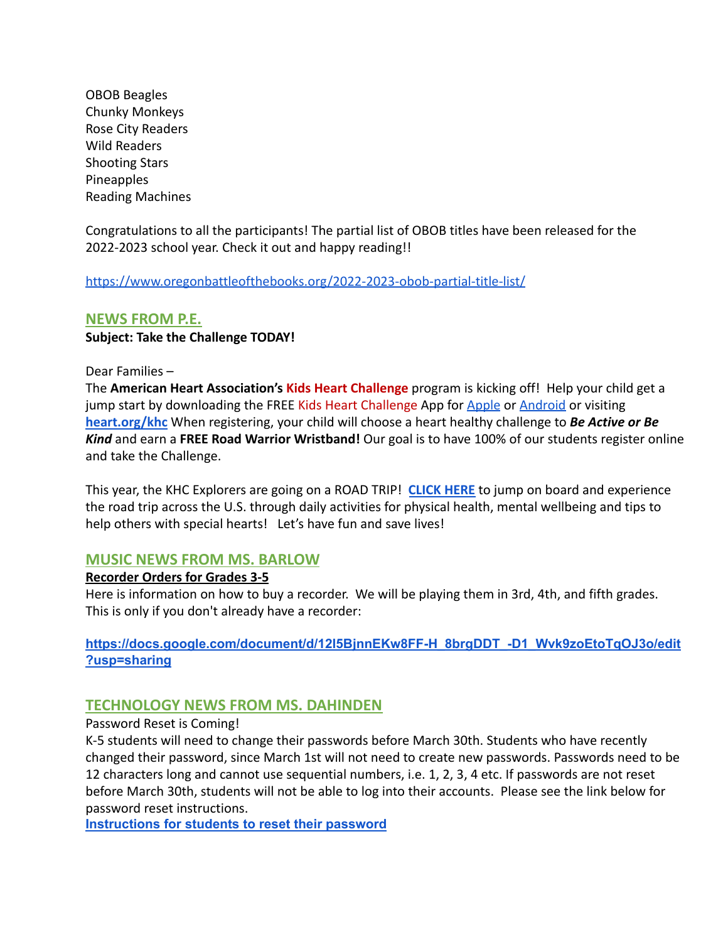OBOB Beagles Chunky Monkeys Rose City Readers Wild Readers Shooting Stars Pineapples Reading Machines

Congratulations to all the participants! The partial list of OBOB titles have been released for the 2022-2023 school year. Check it out and happy reading!!

<https://www.oregonbattleofthebooks.org/2022-2023-obob-partial-title-list/>

#### **NEWS FROM P.E.**

**Subject: Take the Challenge TODAY!**

#### Dear Families –

The **American Heart Association's Kids Heart Challenge** program is kicking off! Help your child get a jump start by downloading the FREE Kids Heart Challenge App for [Apple](https://play.google.com/store/apps/details?mt=8) or [Android](http://www.heart.org/educationalresources?id=com.aha_jump.android.communicator&hl=en) or visiting **[heart.org/khc](https://www2.heart.org/site/TR?pg=company&fr_id=6322&company_id=348036.)** When registering, your child will choose a heart healthy challenge to *Be Active or Be Kind* and earn a **FREE Road Warrior Wristband!** Our goal is to have 100% of our students register online and take the Challenge.

This year, the KHC Explorers are going on a ROAD TRIP! **[CLICK HERE](https://docs.google.com/presentation/d/e/2PACX-1vSEhmGuyHHu0yXmvDP9ifrfBLZ1WpfGQ_-YhKjK-6YLfNCy1qR7LTRJF08wNdqpT2pvhLv4TyOCpxtw/pub?start=false&loop=false&delayms=60000&slide=id.p)** to jump on board and experience the road trip across the U.S. through daily activities for physical health, mental wellbeing and tips to help others with special hearts! Let's have fun and save lives!

#### **MUSIC NEWS FROM MS. BARLOW**

#### **Recorder Orders for Grades 3-5**

Here is information on how to buy a recorder. We will be playing them in 3rd, 4th, and fifth grades. This is only if you don't already have a recorder:

**[https://docs.google.com/document/d/12l5BjnnEKw8FF-H\\_8brgDDT\\_-D1\\_Wvk9zoEtoTqOJ3o/edit](https://docs.google.com/document/d/12l5BjnnEKw8FF-H_8brgDDT_-D1_Wvk9zoEtoTqOJ3o/edit?usp=sharing) [?usp=sharing](https://docs.google.com/document/d/12l5BjnnEKw8FF-H_8brgDDT_-D1_Wvk9zoEtoTqOJ3o/edit?usp=sharing)**

## **TECHNOLOGY NEWS FROM MS. DAHINDEN**

Password Reset is Coming!

K-5 students will need to change their passwords before March 30th. Students who have recently changed their password, since March 1st will not need to create new passwords. Passwords need to be 12 characters long and cannot use sequential numbers, i.e. 1, 2, 3, 4 etc. If passwords are not reset before March 30th, students will not be able to log into their accounts. Please see the link below for password reset instructions.

**[Instructions](https://support.pps.net/support/solutions/articles/8000076103-how-to-using-the-my-pps-portal-to-reset-your-password) for students to reset their password**